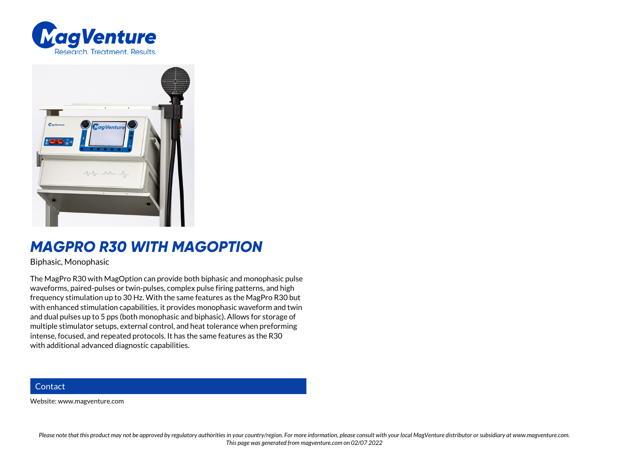



## *MAGPRO R30 WITH MAGOPTION*

Biphasic, Monophasic

The MagPro R30 with MagOption can provide both biphasic and monophasic pulse waveforms, paired-pulses or twin-pulses, complex pulse firing patterns, and high frequency stimulation up to 30 Hz. With the same features as the MagPro R30 but with enhanced stimulation capabilities, it provides monophasic waveform and twin and dual pulses up to 5 pps (both monophasic and biphasic). Allows for storage of multiple stimulator setups, external control, and heat tolerance when preforming intense, focused, and repeated protocols. It has the same features as the R30 with additional advanced diagnostic capabilities.

## **Contact**

Website: www.magventure.com